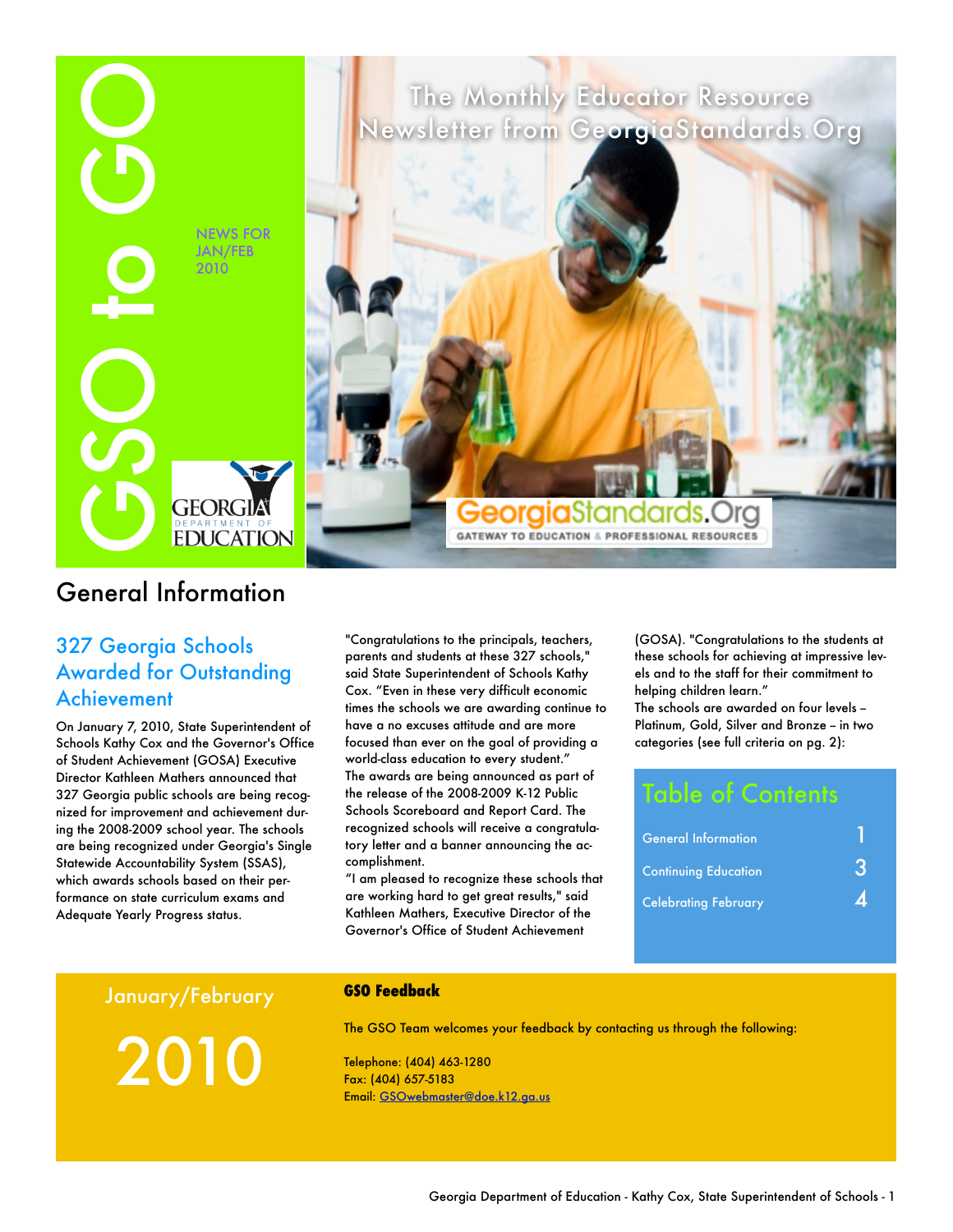

## General Information

## 327 Georgia Schools Awarded for Outstanding Achievement

On January 7, 2010, State Superintendent of Schools Kathy Cox and the Governor's Office of Student Achievement (GOSA) Executive Director Kathleen Mathers announced that 327 Georgia public schools are being recognized for improvement and achievement during the 2008-2009 school year. The schools are being recognized under Georgia's Single Statewide Accountability System (SSAS), which awards schools based on their performance on state curriculum exams and Adequate Yearly Progress status.

"Congratulations to the principals, teachers, parents and students at these 327 schools," said State Superintendent of Schools Kathy Cox. "Even in these very difficult economic times the schools we are awarding continue to have a no excuses attitude and are more focused than ever on the goal of providing a world-class education to every student." The awards are being announced as part of the release of the 2008-2009 K-12 Public Schools Scoreboard and Report Card. The recognized schools will receive a congratulatory letter and a banner announcing the accomplishment.

"I am pleased to recognize these schools that are working hard to get great results," said Kathleen Mathers, Executive Director of the Governor's Office of Student Achievement

(GOSA). "Congratulations to the students at these schools for achieving at impressive levels and to the staff for their commitment to helping children learn."

The schools are awarded on four levels -Platinum, Gold, Silver and Bronze - in two categories (see full criteria on pg. 2):

## Table of Contents

| <b>General Information</b>  |   |
|-----------------------------|---|
| <b>Continuing Education</b> | K |
| <b>Celebrating February</b> |   |

January/February

2010

#### **GSO Feedback**

The GSO Team welcomes your feedback by contacting us through the following:

Telephone: (404) 463-1280 Fax: (404) 657-5183 Email: [GSOwebmaster@doe.k12.ga.us](mailto:GSOwebmaster@doe.k12.ga.us?subject=New%20GSO%20Site%20Feedback)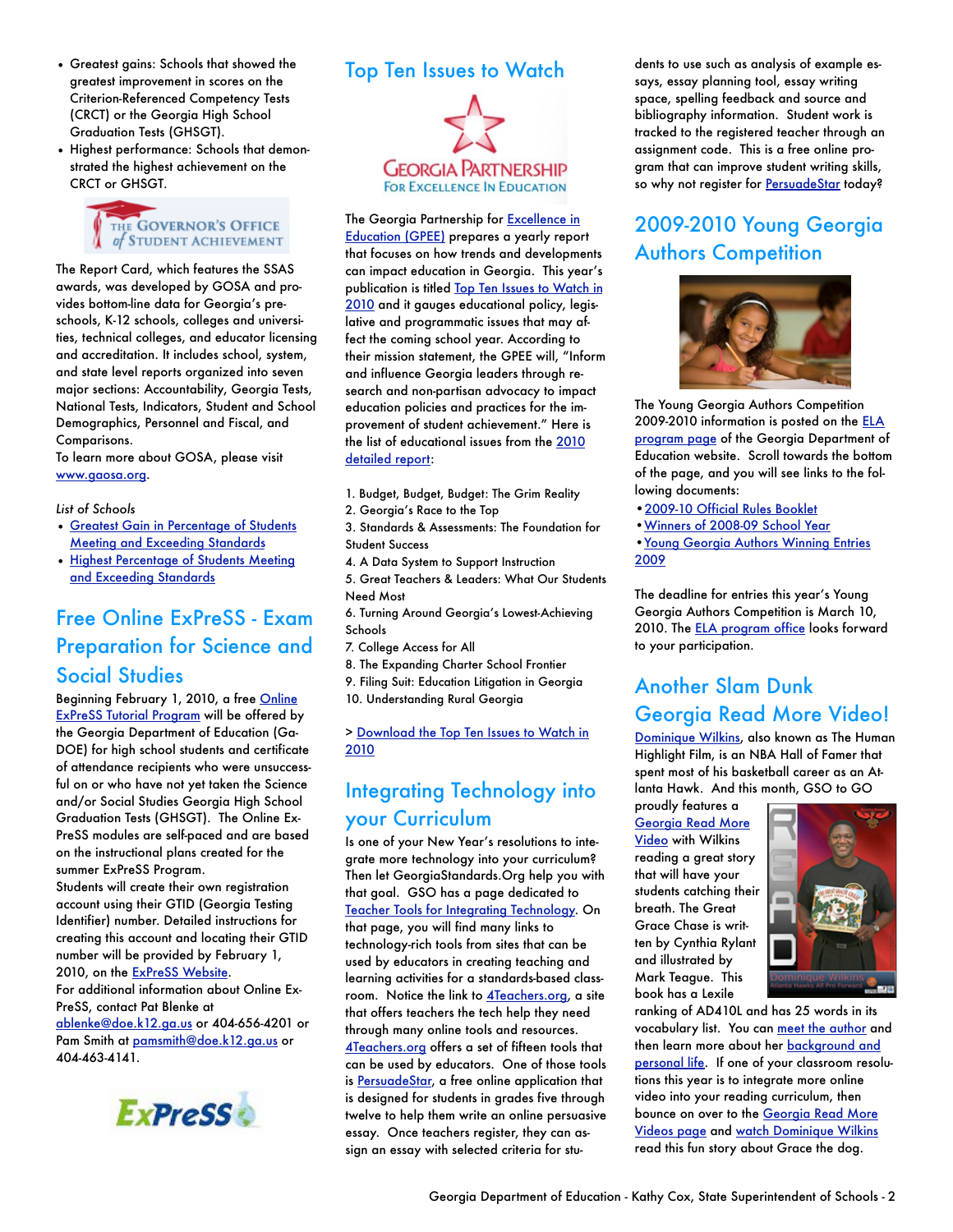- Greatest gains: Schools that showed the greatest improvement in scores on the Criterion-Referenced Competency Tests (CRCT) or the Georgia High School Graduation Tests (GHSGT).
- Highest performance: Schools that demonstrated the highest achievement on the CRCT or GHSGT.



The Report Card, which features the SSAS awards, was developed by GOSA and provides bottom-line data for Georgia's preschools, K-12 schools, colleges and universities, technical colleges, and educator licensing and accreditation. It includes school, system, and state level reports organized into seven major sections: Accountability, Georgia Tests, National Tests, Indicators, Student and School Demographics, Personnel and Fiscal, and Comparisons.

To learn more about GOSA, please visit [www.gaosa.org](http://www.gaosa.org/).

*List of Schools*

- [Greatest Gain in Percentage of Students](http://public.doe.k12.ga.us/DMGetDocument.aspx/Greatest_Gain_Winners_corrected_Production_Data11062009%20-%20For%20Report%20Card.pdf?p=6CC6799F8C1371F66BAA80231A96974717ABA38EC824582378B54AD5E3A86F40&Type=D)  [Meeting and Exceeding Standards](http://public.doe.k12.ga.us/DMGetDocument.aspx/Greatest_Gain_Winners_corrected_Production_Data11062009%20-%20For%20Report%20Card.pdf?p=6CC6799F8C1371F66BAA80231A96974717ABA38EC824582378B54AD5E3A86F40&Type=D)
- [Highest Percentage of Students Meeting](http://public.doe.k12.ga.us/DMGetDocument.aspx/Highest_Performance_Winners_Draft%20Production%20Data%20FINAL%2011%2023%2009%20-%20for%20Report%20Card.pdf?p=6CC6799F8C1371F6ECDA8F35FB11908043AA2461BBB7FD5726FF98D22561D516&Type=D)  [and Exceeding Standards](http://public.doe.k12.ga.us/DMGetDocument.aspx/Highest_Performance_Winners_Draft%20Production%20Data%20FINAL%2011%2023%2009%20-%20for%20Report%20Card.pdf?p=6CC6799F8C1371F6ECDA8F35FB11908043AA2461BBB7FD5726FF98D22561D516&Type=D)

## Free Online ExPreSS - Exam Preparation for Science and Social Studies

Beginning February 1, 2010, a free Online [ExPreSS Tutorial Program](https://www.georgiastandards.org/Resources/Pages/Tools/ExPreSS.aspx) will be offered by the Georgia Department of Education (Ga-DOE) for high school students and certificate of attendance recipients who were unsuccessful on or who have not yet taken the Science and/or Social Studies Georgia High School Graduation Tests (GHSGT). The Online Ex-PreSS modules are self-paced and are based on the instructional plans created for the summer ExPreSS Program.

Students will create their own registration account using their GTID (Georgia Testing Identifier) number. Detailed instructions for creating this account and locating their GTID number will be provided by February 1, 2010, on the [ExPreSS Website.](https://www.georgiastandards.org/Resources/Pages/Tools/ExPreSS.aspx) For additional information about Online Ex-PreSS, contact Pat Blenke at [ablenke@doe.k12.ga.us](mailto:?subject=) or 404-656-4201 or Pam Smith at [pamsmith@doe.k12.ga.us](mailto:?subject=) or 404-463-4141.





The Georgia Partnership for **Excellence in** [Education \(GPEE\)](http://www.gpee.org/) prepares a yearly report that focuses on how trends and developments can impact education in Georgia. This year's publication is titled Top Ten Issues to Watch in [2010](http://www.gpee.org/fileadmin/files/pdf/_GPEE_Top_Ten_2010_.pdf) and it gauges educational policy, legislative and programmatic issues that may affect the coming school year. According to their mission statement, the GPEE will, "Inform and influence Georgia leaders through research and non-partisan advocacy to impact education policies and practices for the improvement of student achievement." Here is the list of educational issues from the 2010 [detailed report:](http://www.gpee.org/fileadmin/files/pdf/_GPEE_Top_Ten_2010_.pdf)

- 1. Budget, Budget, Budget: The Grim Reality
- 2. Georgia's Race to the Top
- 3. Standards & Assessments: The Foundation for Student Success
- 4. A Data System to Support Instruction
- 5. Great Teachers & Leaders: What Our Students Need Most
- 6. Turning Around Georgia's Lowest-Achieving Schools
- 7. College Access for All
- 8. The Expanding Charter School Frontier
- 9. Filing Suit: Education Litigation in Georgia
- 10. Understanding Rural Georgia

> [Download the Top Ten Issues to Watch in](http://www.gpee.org/fileadmin/files/pdf/_GPEE_Top_Ten_2010_.pdf)  [2010](http://www.gpee.org/fileadmin/files/pdf/_GPEE_Top_Ten_2010_.pdf)

## Integrating Technology into your Curriculum

Is one of your New Year's resolutions to integrate more technology into your curriculum? Then let GeorgiaStandards.Org help you with that goal. GSO has a page dedicated to [Teacher Tools for Integrating Technology](https://www.georgiastandards.org/Resources/Pages/Tools/toolsandlinks.aspx). On that page, you will find many links to technology-rich tools from sites that can be used by educators in creating teaching and learning activities for a standards-based classroom. Notice the link to [4Teachers.org,](http://www.4teachers.org/) a site that offers teachers the tech help they need through many online tools and resources. [4Teachers.org](http://www.4teachers.org/) offers a set of fifteen tools that can be used by educators. One of those tools is [PersuadeStar](http://persuadestar.4teachers.org/), a free online application that is designed for students in grades five through twelve to help them write an online persuasive essay. Once teachers register, they can assign an essay with selected criteria for students to use such as analysis of example essays, essay planning tool, essay writing space, spelling feedback and source and bibliography information. Student work is tracked to the registered teacher through an assignment code. This is a free online program that can improve student writing skills, so why not register for [PersuadeStar](http://persuadestar.4teachers.org/) today?

## 2009-2010 Young Georgia Authors Competition



The Young Georgia Authors Competition 2009-2010 information is posted on the [ELA](http://www.gadoe.org/ci_services.aspx?PageReq=CIServEnglish)  [program page](http://www.gadoe.org/ci_services.aspx?PageReq=CIServEnglish) of the Georgia Department of Education website. Scroll towards the bottom of the page, and you will see links to the following documents:

- [•2009-10 Official Rules Booklet](http://www.gadoe.org/DMGetDocument.aspx/YGA%202009-10%20pdf.PDF?p=6CC6799F8C1371F68C1F91128BD9DBFB890C2B225124CE1471D2E941B0C3FCBE&Type=D)
- [•Winners of 2008-09 School Year](http://public.doe.k12.ga.us/DMGetDocument.aspx/YGA%20Winners%202009.doc?p=6CC6799F8C1371F60DA3BE96C4CBEA1B7CE99F0346971731C1C5E8767CEBC018&Type=D)
- [•Young Georgia Authors Winning Entries](http://public.doe.k12.ga.us/DMGetDocument.aspx/YGA%20%20Winning%20Entries%202009.pdf?p=6CC6799F8C1371F65D48A59E2FAA1DC4027309DC7452091D15DE6FC0F02A4810&Type=D)  [2009](http://public.doe.k12.ga.us/DMGetDocument.aspx/YGA%20%20Winning%20Entries%202009.pdf?p=6CC6799F8C1371F65D48A59E2FAA1DC4027309DC7452091D15DE6FC0F02A4810&Type=D)

The deadline for entries this year's Young Georgia Authors Competition is March 10, 2010. The **ELA** program office looks forward to your participation.

## Another Slam Dunk Georgia Read More Video!

[Dominique Wilkins,](http://www.nba.com/history/players/wilkins_summary.html) also known as The Human Highlight Film, is an NBA Hall of Famer that spent most of his basketball career as an Atlanta Hawk. And this month, GSO to GO

proudly features a [Georgia Read More](http://jan-2008-ga-read-more.notlong.com/)  **Video** with Wilkins reading a great story that will have your students catching their breath. The Great Grace Chase is written by Cynthia Rylant and illustrated by Mark Teague. This book has a Lexile



ranking of AD410L and has 25 words in its vocabulary list. You can [meet the author](http://www.eduplace.com/kids/tnc/mtai/rylant.html) and then learn more about her **background and** [personal life.](http://www.kidsreads.com/authors/au-rylant-cynthia.asp) If one of your classroom resolutions this year is to integrate more online video into your reading curriculum, then bounce on over to the Georgia Read More [Videos page](http://public.doe.k12.ga.us/it.aspx?PageReq=ITReadMore) and [watch Dominique Wilkins](http://jan-2008-ga-read-more.notlong.com/) read this fun story about Grace the dog.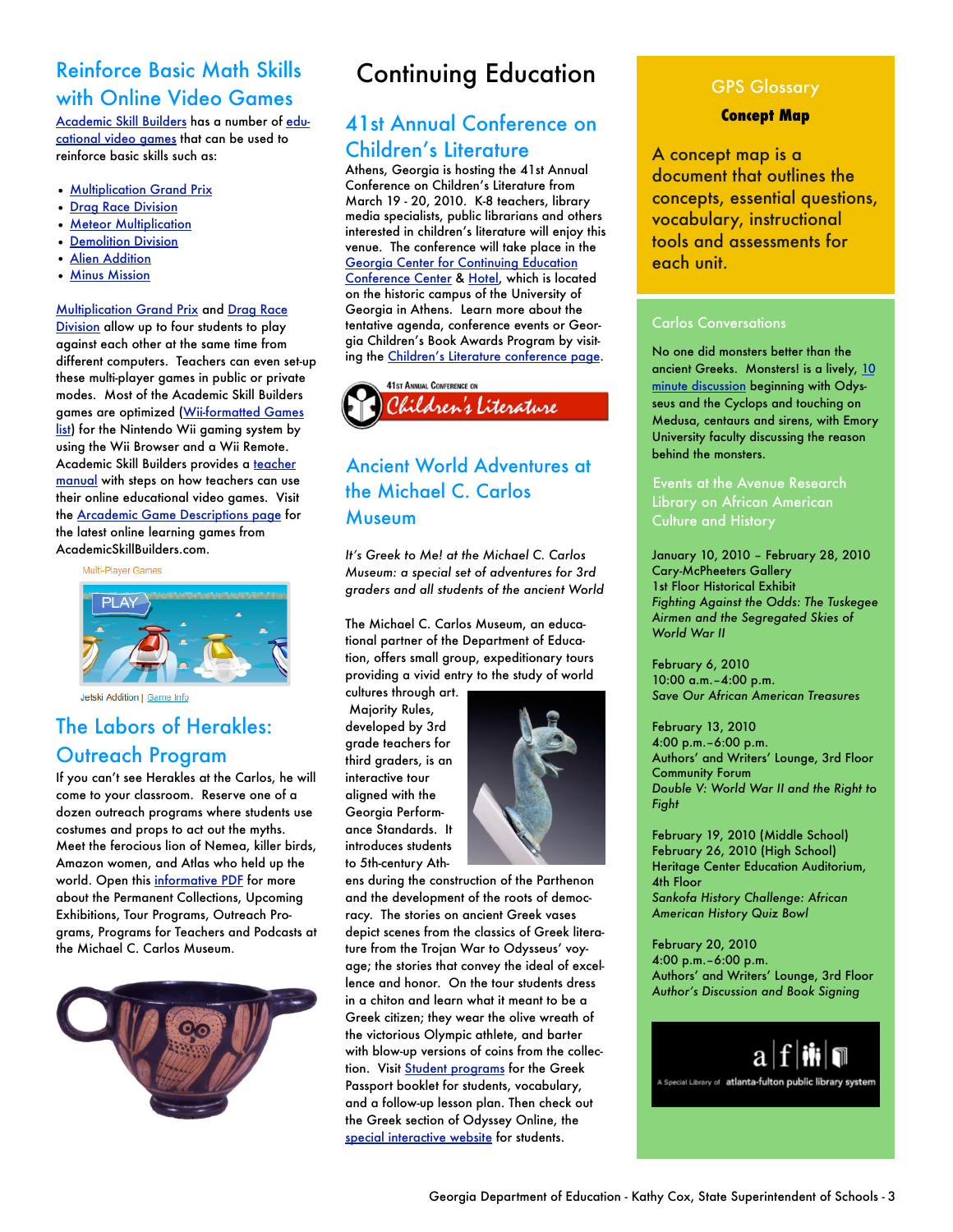## Reinforce Basic Math Skills with Online Video Games

[Academic Skill Builders](http://www.arcademicskillbuilders.com/) has a number of [edu](http://www.arcademicskillbuilders.com/games.htm)[cational video games](http://www.arcademicskillbuilders.com/games.htm) that can be used to reinforce basic skills such as:

- [Multiplication Grand Prix](http://arcademicskillbuilders.com/games/grand_prix/grand_prix.html)
- [Drag Race Division](http://arcademicskillbuilders.com/games/drag_race/drag_race.html)
- [Meteor Multiplication](http://www.arcademicskillbuilders.com/games/meteor/meteor.html)
- [Demolition Division](http://www.arcademicskillbuilders.com/games/demolition/demolition.html)
- [Alien Addition](http://www.arcademicskillbuilders.com/games/alien/alien.html)
- [Minus Mission](http://www.arcademicskillbuilders.com/games/mission/mission.html)

#### [Multiplication Grand Prix](http://arcademicskillbuilders.com/games/grand_prix/grand_prix.html) and [Drag Race](http://arcademicskillbuilders.com/games/drag_race/drag_race.html)

[Division](http://arcademicskillbuilders.com/games/drag_race/drag_race.html) allow up to four students to play against each other at the same time from different computers. Teachers can even set-up these multi-player games in public or private modes. Most of the Academic Skill Builders games are optimized ([Wii-formatted Games](http://www.arcademicskillbuilders.com/wiilist.htm)  [list](http://www.arcademicskillbuilders.com/wiilist.htm)) for the Nintendo Wii gaming system by using the Wii Browser and a Wii Remote. Academic Skill Builders provides a [teacher](http://www.arcademicskillbuilders.com/manual.htm)  [manual](http://www.arcademicskillbuilders.com/manual.htm) with steps on how teachers can use their online educational video games. Visit the [Arcademic Game Descriptions page](http://www.arcademicskillbuilders.com/games/) for the latest online learning games from AcademicSkillBuilders.com.

Mulfi-Player Games



Jetski Addition | Game Info

## The Labors of Herakles: Outreach Program

If you can't see Herakles at the Carlos, he will come to your classroom. Reserve one of a dozen outreach programs where students use costumes and props to act out the myths. Meet the ferocious lion of Nemea, killer birds, Amazon women, and Atlas who held up the world. Open this [informative PDF](http://www.carlos.emory.edu/PDF/School_Programs_2009_2010.pdf) for more about the Permanent Collections, Upcoming Exhibitions, Tour Programs, Outreach Programs, Programs for Teachers and Podcasts at the Michael C. Carlos Museum.



## Continuing Education

## 41st Annual Conference on Children's Literature

Athens, Georgia is hosting the 41st Annual Conference on Children's Literature from March 19 - 20, 2010. K-8 teachers, library media specialists, public librarians and others interested in children's literature will enjoy this venue. The conference will take place in the [Georgia Center for Continuing Education](http://www.georgiacenter.uga.edu/)  [Conference Center](http://www.georgiacenter.uga.edu/) & [Hotel](http://www.georgiacenter.uga.edu/sections/amenities.phtml), which is located on the historic campus of the University of Georgia in Athens. Learn more about the tentative agenda, conference events or Georgia Children's Book Awards Program by visiting the [Children's Literature conference page.](http://www.georgiacenter.uga.edu/conferences/2010/Mar/19/child_lit.phtml)



## Ancient World Adventures at the Michael C. Carlos Museum

*It's Greek to Me! at the Michael C. Carlos Museum: a special set of adventures for 3rd graders and all students of the ancient World*

The Michael C. Carlos Museum, an educational partner of the Department of Education, offers small group, expeditionary tours providing a vivid entry to the study of world

cultures through art. Majority Rules, developed by 3rd grade teachers for third graders, is an interactive tour aligned with the Georgia Performance Standards. It introduces students to 5th-century Ath-



ens during the construction of the Parthenon and the development of the roots of democracy. The stories on ancient Greek vases depict scenes from the classics of Greek literature from the Trojan War to Odysseus' voyage; the stories that convey the ideal of excellence and honor. On the tour students dress in a chiton and learn what it meant to be a Greek citizen; they wear the olive wreath of the victorious Olympic athlete, and barter with blow-up versions of coins from the collec-tion. Visit [Student programs](http://www.carlos.emory.edu/odyssey-online) for the Greek Passport booklet for students, vocabulary, and a follow-up lesson plan. Then check out the Greek section of Odyssey Online, the [special interactive website](http://www.carlos.emory.edu/odyssey-online) for students.

#### GPS Glossary

#### **Concept Map**

A concept map is a document that outlines the concepts, essential questions, vocabulary, instructional tools and assessments for each unit.

#### Carlos Conversations

No one did monsters better than the ancient Greeks. Monsters! is a lively, 10 [minute discussion](http://www.carlos.emory.edu/files/Monsters.m4a) beginning with Odysseus and the Cyclops and touching on Medusa, centaurs and sirens, with Emory University faculty discussing the reason behind the monsters.

Events at the Avenue Research Culture and History

January 10, 2010 – February 28, 2010 Cary-McPheeters Gallery 1st Floor Historical Exhibit *Fighting Against the Odds: The Tuskegee Airmen and the Segregated Skies of World War II*

February 6, 2010 10:00 a.m.–4:00 p.m. *Save Our African American Treasures*

February 13, 2010 4:00 p.m.–6:00 p.m. Authors' and Writers' Lounge, 3rd Floor Community Forum *Double V: World War II and the Right to Fight*

February 19, 2010 (Middle School) February 26, 2010 (High School) Heritage Center Education Auditorium, 4th Floor *Sankofa History Challenge: African American History Quiz Bowl*

February 20, 2010 4:00 p.m.–6:00 p.m. Authors' and Writers' Lounge, 3rd Floor *Author's Discussion and Book Signing*

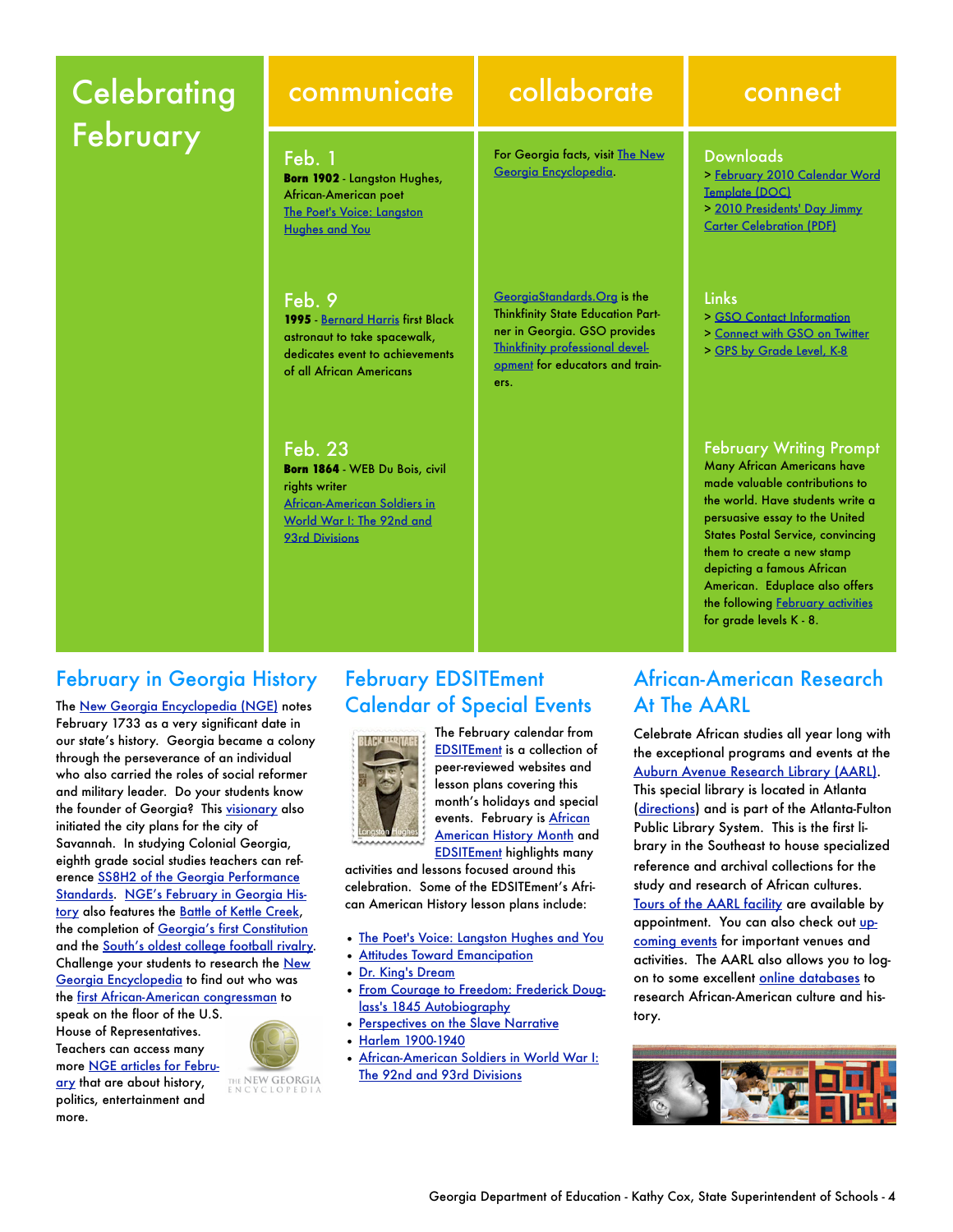# **Celebrating** February

**Born 1902** - Langston Hughes, African-American poet [The Poet's Voice: Langston](http://edsitement.neh.gov/view_lesson_plan.asp?id=405)  [Hughes and You](http://edsitement.neh.gov/view_lesson_plan.asp?id=405)

**1995** - [Bernard Harris](http://www.jsc.nasa.gov/Bios/htmlbios/harris.html) first Black astronaut to take spacewalk, dedicates event to achievements of all African Americans

**Born 1864** - WEB Du Bois, civil

[African-American Soldiers in](http://edsitement.neh.gov/view_lesson_plan.asp?id=497)  [World War I: The 92nd and](http://edsitement.neh.gov/view_lesson_plan.asp?id=497) 

Feb. 1

Feb. 9

Feb. 23

rights writer

[93rd Div](http://edsitement.neh.gov/view_lesson_plan.asp?id=497)isions

## communicate collaborate connect

For Georgia facts, visit [The New](http://www.georgiaencyclopedia.org/)  [Georgia Encyclopedia](http://www.georgiaencyclopedia.org/).

[GeorgiaStandards.Org](https://www.georgiastandards.org/Pages/default.aspx) is the Thinkfinity State Education Partner in Georgia. GSO provides [Thinkfinity professional devel](http://www.thinkfinity.org/pd/request_training.aspx)[opme](http://www.thinkfinity.org/pd/request_training.aspx)nt for educators and trainers.

#### **Downloads**

- [> February 2010 Calendar Word](http://www.georgiastandards.org/Documents/GSO-to-GO-December-2009-Calendar-Template.doc)  [Template \(DOC\)](http://www.georgiastandards.org/Documents/GSO-to-GO-December-2009-Calendar-Template.doc)
- [> 2010 Presidents' Day Jimmy](https://www.georgiastandards.org/Documents/2010-Presidents-Day-Celebration.pdf)
- [Carter Celebration \(PDF\)](https://www.georgiastandards.org/Documents/2010-Presidents-Day-Celebration.pdf)

#### **Links**

- [> GSO Contact Information](https://www.georgiastandards.org/Pages/ContactUs/contactus.aspx)
- [> Connect with GSO on Twitter](http://twitter.com/gastandardsorg)
- [> GPS by Grade Level, K-8](http://www.georgiastandards.org/standards/Pages/BrowseStandards/GPS_by_Grade_Level_K-8.aspx)

#### February Writing Prompt

Many African Americans have made valuable contributions to the world. Have students write a persuasive essay to the United States Postal Service, convincing them to create a new stamp depicting a famous African American. Eduplace also offers the following **February activities** for grade levels K - 8.

## February in Georgia History

The [New Georgia Encyclopedia \(NGE\)](http://www.georgiaencyclopedia.org/nge/Home.jsp) notes February 1733 as a very significant date in our state's history. Georgia became a colony through the perseverance of an individual who also carried the roles of social reformer and military leader. Do your students know the founder of Georgia? This [visionary](http://www.georgiaencyclopedia.org/nge/Article.jsp?id=h-1058&pid=s-52) also initiated the city plans for the city of Savannah. In studying Colonial Georgia, eighth grade social studies teachers can reference [SS8H2 of the Georgia Performance](https://www.georgiastandards.org/Standards/Pages/BrowseStandards/SocialStudiesStandards6-8.aspx)  [Standards.](https://www.georgiastandards.org/Standards/Pages/BrowseStandards/SocialStudiesStandards6-8.aspx) [NGE's February in Georgia His](http://www.georgiaencyclopedia.org/nge/Feature.jsp?id=s-52&hl=y)[tory](http://www.georgiaencyclopedia.org/nge/Feature.jsp?id=s-52&hl=y) also features the [Battle of Kettle Creek](http://www.georgiaencyclopedia.org/nge/Article.jsp?id=h-1088&pid=s-52), the completion of [Georgia's first Constitution](http://www.georgiaencyclopedia.org/nge/Article.jsp?id=h-588&pid=s-52) and the [South's oldest college football rivalry.](http://www.georgiaencyclopedia.org/nge/Article.jsp?id=h-1994&pid=s-52) Challenge your students to research the [New](http://www.georgiaencyclopedia.org/nge/Home.jsp)  [Georgia Encyclopedia](http://www.georgiaencyclopedia.org/nge/Home.jsp) to find out who was the [first African-American congressman](http://www.georgiaencyclopedia.org/nge/Article.jsp?id=h-3473&hl=y) to

speak on the floor of the U.S. House of Representatives. Teachers can access many more [NGE articles for Febru-](http://www.georgiaencyclopedia.org/nge/Feature.jsp?id=s-52&hl=y)THE **NEW GEORGIA**<br>E N C Y C L O P E D L A [ary](http://www.georgiaencyclopedia.org/nge/Feature.jsp?id=s-52&hl=y) that are about history, politics, entertainment and more.

February EDSITEment Calendar of Special Events



The February calendar from [EDSITEment](http://edsitement.neh.gov/) is a collection of peer-reviewed websites and lesson plans covering this month's holidays and special events. February is [African](http://www.infoplease.com/spot/bhm1.html)  **[American History Month](http://www.infoplease.com/spot/bhm1.html) and** [EDSITEment](http://edsitement.neh.gov/) highlights many

activities and lessons focused around this celebration. Some of the EDSITEment's African American History lesson plans include:

- [The Poet's Voice: Langston Hughes and You](http://edsitement.neh.gov/view_lesson_plan.asp?id=405)
- [Attitudes Toward Emancipation](http://edsitement.neh.gov/view_lesson_plan.asp?id=290)
- [Dr. King's Dream](http://edsitement.neh.gov/view_lesson_plan.asp?id=332)
- [From Courage to Freedom: Frederick Doug](http://edsitement.neh.gov/view_lesson_plan.asp?id=594)[lass's 1845 Autobiography](http://edsitement.neh.gov/view_lesson_plan.asp?id=594)
- [Perspectives on the Slave Narrative](http://edsitement.neh.gov/view_lesson_plan.asp?id=321)
- [Harlem 1900-1940](http://www.si.umich.edu/CHICO/Harlem/text/dubois.html)
- [African-American Soldiers in World War I:](http://edsitement.neh.gov/view_lesson_plan.asp?id=497)  [The 92nd and 93rd Divisions](http://edsitement.neh.gov/view_lesson_plan.asp?id=497)

## African-American Research At The AARL

Celebrate African studies all year long with the exceptional programs and events at the [Auburn Avenue Research Library \(AARL\).](http://www.afpls.org/index.php?option=com_content&task=blogcategory&id=22&Itemid=76) This special library is located in Atlanta [\(directions\)](http://www.afpls.org/index.php?option=com_content&task=view&id=63&Itemid=86) and is part of the Atlanta-Fulton Public Library System. This is the first library in the Southeast to house specialized reference and archival collections for the study and research of African cultures. [Tours of the AARL facility](http://www.afpls.org/index.php?option=com_content&task=view&id=196&Itemid=90) are available by appointment. You can also check out [up](http://www.afpls.org/index.php?option=com_content&task=view&id=70&Itemid=83)[coming events](http://www.afpls.org/index.php?option=com_content&task=view&id=70&Itemid=83) for important venues and activities. The AARL also allows you to logon to some excellent [online databases](http://www.afplweb.com/cms/index.php?option=com_content&task=view&id=179&Itemid=79) to research African-American culture and history.